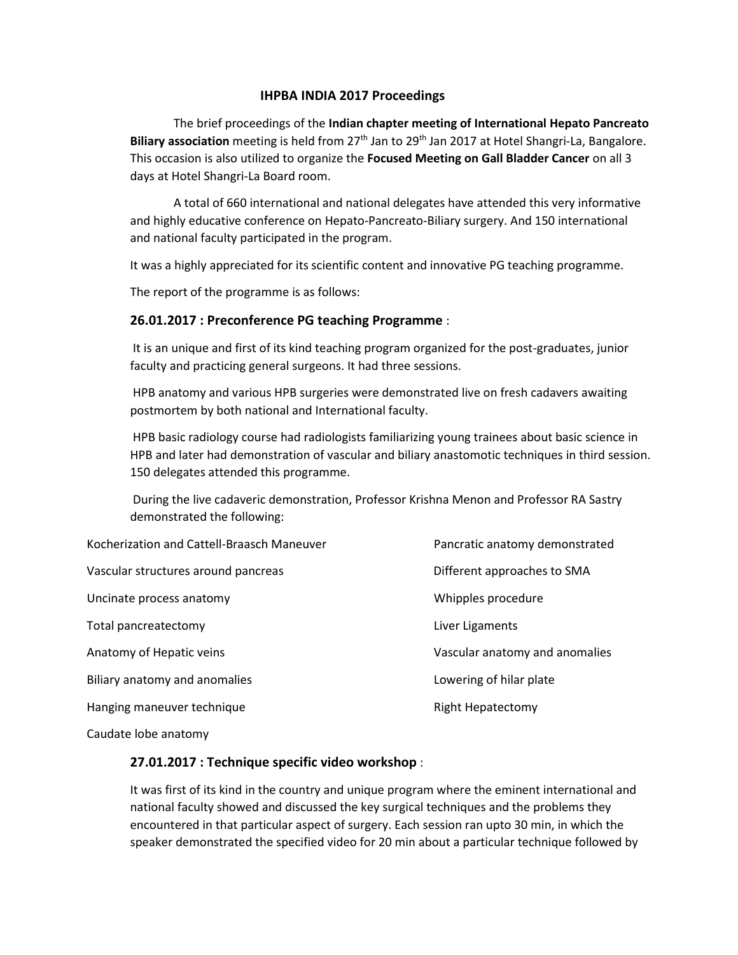#### **IHPBA INDIA 2017 Proceedings**

The brief proceedings of the **Indian chapter meeting of International Hepato Pancreato** Biliary association meeting is held from 27<sup>th</sup> Jan to 29<sup>th</sup> Jan 2017 at Hotel Shangri-La, Bangalore. This occasion is also utilized to organize the **Focused Meeting on Gall Bladder Cancer** on all 3 days at Hotel Shangri-La Board room.

A total of 660 international and national delegates have attended this very informative and highly educative conference on Hepato-Pancreato-Biliary surgery. And 150 international and national faculty participated in the program.

It was a highly appreciated for its scientific content and innovative PG teaching programme.

The report of the programme is as follows:

#### **26.01.2017 : Preconference PG teaching Programme** :

It is an unique and first of its kind teaching program organized for the post-graduates, junior faculty and practicing general surgeons. It had three sessions.

HPB anatomy and various HPB surgeries were demonstrated live on fresh cadavers awaiting postmortem by both national and International faculty.

HPB basic radiology course had radiologists familiarizing young trainees about basic science in HPB and later had demonstration of vascular and biliary anastomotic techniques in third session. 150 delegates attended this programme.

During the live cadaveric demonstration, Professor Krishna Menon and Professor RA Sastry demonstrated the following:

| Kocherization and Cattell-Braasch Maneuver | Pancratic anatomy demonstrated |
|--------------------------------------------|--------------------------------|
| Vascular structures around pancreas        | Different approaches to SMA    |
| Uncinate process anatomy                   | Whipples procedure             |
| Total pancreatectomy                       | Liver Ligaments                |
| Anatomy of Hepatic veins                   | Vascular anatomy and anomalies |
| Biliary anatomy and anomalies              | Lowering of hilar plate        |
| Hanging maneuver technique                 | <b>Right Hepatectomy</b>       |
|                                            |                                |

Caudate lobe anatomy

# **27.01.2017 : Technique specific video workshop** :

It was first of its kind in the country and unique program where the eminent international and national faculty showed and discussed the key surgical techniques and the problems they encountered in that particular aspect of surgery. Each session ran upto 30 min, in which the speaker demonstrated the specified video for 20 min about a particular technique followed by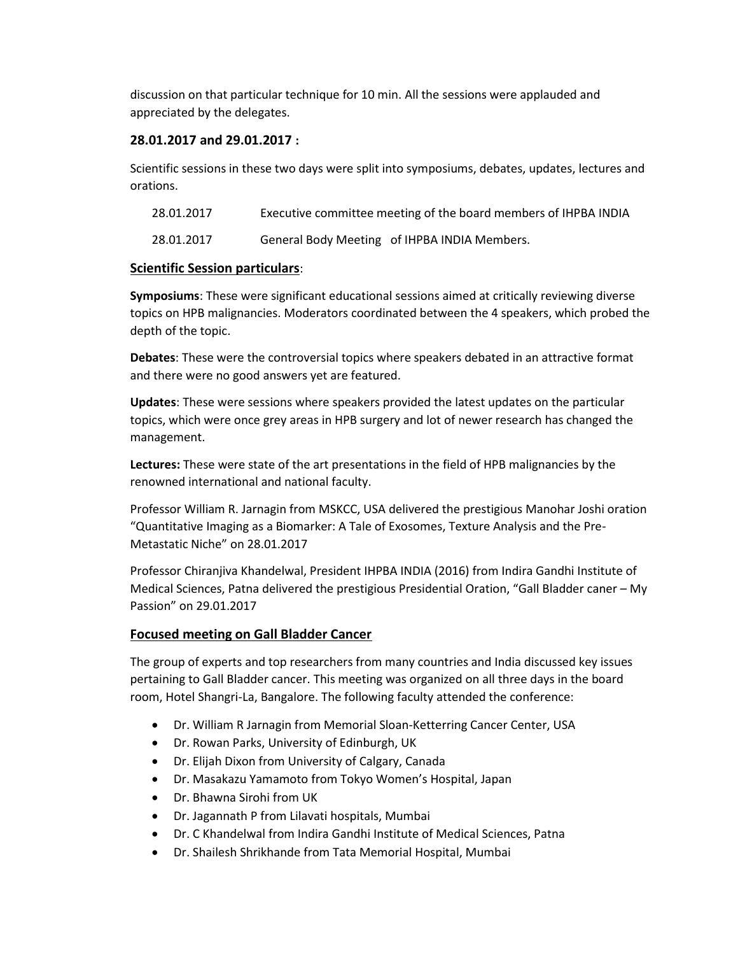discussion on that particular technique for 10 min. All the sessions were applauded and appreciated by the delegates.

# **28.01.2017 and 29.01.2017 :**

Scientific sessions in these two days were split into symposiums, debates, updates, lectures and orations.

| 28.01.2017 | Executive committee meeting of the board members of IHPBA INDIA |
|------------|-----------------------------------------------------------------|
|------------|-----------------------------------------------------------------|

28.01.2017 General Body Meeting of IHPBA INDIA Members.

# **Scientific Session particulars**:

**Symposiums**: These were significant educational sessions aimed at critically reviewing diverse topics on HPB malignancies. Moderators coordinated between the 4 speakers, which probed the depth of the topic.

**Debates**: These were the controversial topics where speakers debated in an attractive format and there were no good answers yet are featured.

**Updates**: These were sessions where speakers provided the latest updates on the particular topics, which were once grey areas in HPB surgery and lot of newer research has changed the management.

**Lectures:** These were state of the art presentations in the field of HPB malignancies by the renowned international and national faculty.

Professor William R. Jarnagin from MSKCC, USA delivered the prestigious Manohar Joshi oration "Quantitative Imaging as a Biomarker: A Tale of Exosomes, Texture Analysis and the Pre-Metastatic Niche" on 28.01.2017

Professor Chiranjiva Khandelwal, President IHPBA INDIA (2016) from Indira Gandhi Institute of Medical Sciences, Patna delivered the prestigious Presidential Oration, "Gall Bladder caner – My Passion" on 29.01.2017

# **Focused meeting on Gall Bladder Cancer**

The group of experts and top researchers from many countries and India discussed key issues pertaining to Gall Bladder cancer. This meeting was organized on all three days in the board room, Hotel Shangri-La, Bangalore. The following faculty attended the conference:

- Dr. William R Jarnagin from Memorial Sloan-Ketterring Cancer Center, USA
- Dr. Rowan Parks, University of Edinburgh, UK
- Dr. Elijah Dixon from University of Calgary, Canada
- Dr. Masakazu Yamamoto from Tokyo Women's Hospital, Japan
- Dr. Bhawna Sirohi from UK
- Dr. Jagannath P from Lilavati hospitals, Mumbai
- Dr. C Khandelwal from Indira Gandhi Institute of Medical Sciences, Patna
- Dr. Shailesh Shrikhande from Tata Memorial Hospital, Mumbai